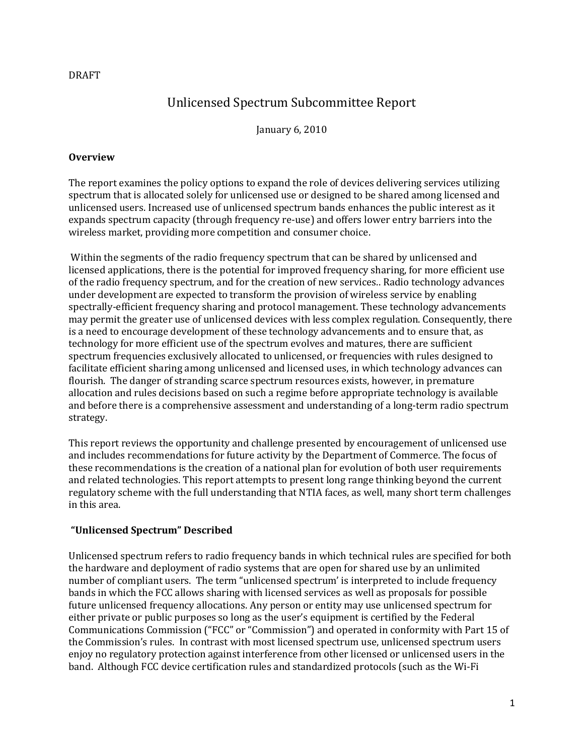# Unlicensed Spectrum Subcommittee Report

January 6, 2010

#### **Overview**

The report examines the policy options to expand the role of devices delivering services utilizing spectrum that is allocated solely for unlicensed use or designed to be shared among licensed and unlicensed users. Increased use of unlicensed spectrum bands enhances the public interest as it expands spectrum capacity (through frequency re-use) and offers lower entry barriers into the wireless market, providing more competition and consumer choice.

Within the segments of the radio frequency spectrum that can be shared by unlicensed and licensed applications, there is the potential for improved frequency sharing, for more efficient use of the radio frequency spectrum, and for the creation of new services.. Radio technology advances under development are expected to transform the provision of wireless service by enabling spectrally-efficient frequency sharing and protocol management. These technology advancements may permit the greater use of unlicensed devices with less complex regulation. Consequently, there is a need to encourage development of these technology advancements and to ensure that, as technology for more efficient use of the spectrum evolves and matures, there are sufficient spectrum frequencies exclusively allocated to unlicensed, or frequencies with rules designed to facilitate efficient sharing among unlicensed and licensed uses, in which technology advances can flourish. The danger of stranding scarce spectrum resources exists, however, in premature allocation and rules decisions based on such a regime before appropriate technology is available and before there is a comprehensive assessment and understanding of a long-term radio spectrum strategy.

This report reviews the opportunity and challenge presented by encouragement of unlicensed use and includes recommendations for future activity by the Department of Commerce. The focus of these recommendations is the creation of a national plan for evolution of both user requirements and related technologies. This report attempts to present long range thinking beyond the current regulatory scheme with the full understanding that NTIA faces, as well, many short term challenges in this area.

### **"Unlicensed Spectrum" Described**

Unlicensed spectrum refers to radio frequency bands in which technical rules are specified for both the hardware and deployment of radio systems that are open for shared use by an unlimited number of compliant users. The term "unlicensed spectrum' is interpreted to include frequency bands in which the FCC allows sharing with licensed services as well as proposals for possible future unlicensed frequency allocations. Any person or entity may use unlicensed spectrum for either private or public purposes so long as the user's equipment is certified by the Federal Communications Commission ("FCC" or "Commission") and operated in conformity with Part 15 of the Commission's rules. In contrast with most licensed spectrum use, unlicensed spectrum users enjoy no regulatory protection against interference from other licensed or unlicensed users in the band. Although FCC device certification rules and standardized protocols (such as the Wi-Fi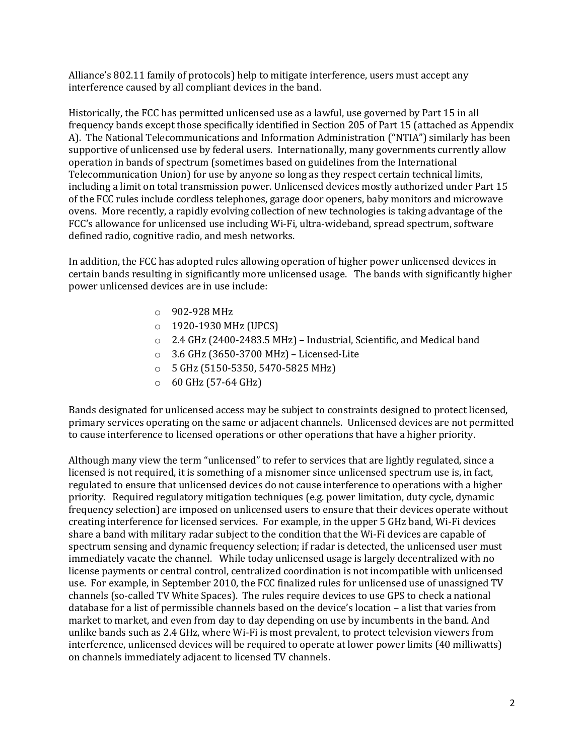Alliance's 802.11 family of protocols) help to mitigate interference, users must accept any interference caused by all compliant devices in the band.

Historically, the FCC has permitted unlicensed use as a lawful, use governed by Part 15 in all frequency bands except those specifically identified in Section 205 of Part 15 (attached as Appendix A). The National Telecommunications and Information Administration ("NTIA") similarly has been supportive of unlicensed use by federal users. Internationally, many governments currently allow operation in bands of spectrum (sometimes based on guidelines from the International Telecommunication Union) for use by anyone so long as they respect certain technical limits, including a limit on total transmission power. Unlicensed devices mostly authorized under Part 15 of the FCC rules include cordless telephones, garage door openers, baby monitors and microwave ovens. More recently, a rapidly evolving collection of new technologies is taking advantage of the FCC's allowance for unlicensed use including [Wi-Fi,](http://en.wikipedia.org/wiki/Wi-Fi) [ultra-wideb](http://en.wikipedia.org/wiki/Ultra_Wideband)and, [spread spectrum,](http://en.wikipedia.org/wiki/Spread_spectrum) [software](http://en.wikipedia.org/wiki/Software_defined_radio)  [defined radio,](http://en.wikipedia.org/wiki/Software_defined_radio) [cognitive radio,](http://en.wikipedia.org/wiki/Cognitive_radio) an[d mesh networks.](http://en.wikipedia.org/wiki/Mesh_networks)

In addition, the FCC has adopted rules allowing operation of higher power unlicensed devices in certain bands resulting in significantly more unlicensed usage. The bands with significantly higher power unlicensed devices are in use include:

- o 902-928 MHz
- o 1920-1930 MHz (UPCS)
- o 2.4 GHz (2400-2483.5 MHz) Industrial, Scientific, and Medical band
- o 3.6 GHz (3650-3700 MHz) Licensed-Lite
- o 5 GHz (5150-5350, 5470-5825 MHz)
- $\circ$  60 GHz (57-64 GHz)

Bands designated for unlicensed access may be subject to constraints designed to protect licensed, primary services operating on the same or adjacent channels. Unlicensed devices are not permitted to cause interference to licensed operations or other operations that have a higher priority.

Although many view the term "unlicensed" to refer to services that are lightly regulated, since a licensed is not required, it is something of a misnomer since unlicensed spectrum use is, in fact, regulated to ensure that unlicensed devices do not cause interference to operations with a higher priority. Required regulatory mitigation techniques (e.g. power limitation, duty cycle, dynamic frequency selection) are imposed on unlicensed users to ensure that their devices operate without creating interference for licensed services. For example, in the upper 5 GHz band, Wi-Fi devices share a band with military radar subject to the condition that the Wi-Fi devices are capable of spectrum sensing and dynamic frequency selection; if radar is detected, the unlicensed user must immediately vacate the channel. While today unlicensed usage is largel[y decentralized](http://en.wikipedia.org/wiki/Decentralisation) with no license payments or central control, centralized coordination is not incompatible with unlicensed use. For example, in September 2010, the FCC finalized rules for unlicensed use of unassigned TV channels (so-called TV White Spaces). The rules require devices to use GPS to check a national database for a list of permissible channels based on the device's location – a list that varies from market to market, and even from day to day depending on use by incumbents in the band. And unlike bands such as 2.4 GHz, where Wi-Fi is most prevalent, to protect television viewers from interference, unlicensed devices will be required to operate at lower power limits (40 milliwatts) on channels immediately adjacent to licensed TV channels.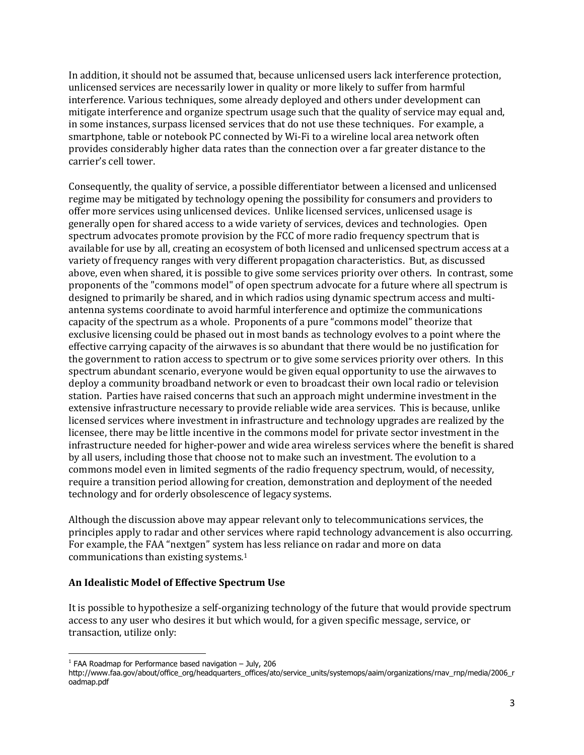In addition, it should not be assumed that, because unlicensed users lack interference protection, unlicensed services are necessarily lower in quality or more likely to suffer from harmful interference. Various techniques, some already deployed and others under development can mitigate interference and organize spectrum usage such that the quality of service may equal and, in some instances, surpass licensed services that do not use these techniques. For example, a smartphone, table or notebook PC connected by Wi-Fi to a wireline local area network often provides considerably higher data rates than the connection over a far greater distance to the carrier's cell tower.

Consequently, the quality of service, a possible differentiator between a licensed and unlicensed regime may be mitigated by technology opening the possibility for consumers and providers to offer more services using unlicensed devices. Unlike licensed services, unlicensed usage is generally open for shared access to a wide variety of services, devices and technologies. Open spectrum advocates promote provision by the FCC of more [radio frequency](http://en.wikipedia.org/wiki/Radio_frequency) [spectrum](http://en.wikipedia.org/wiki/Electromagnetic_spectrum) that is available for use by all, creating an ecosystem of both licensed and unlicensed spectrum access at a variety of frequency ranges with very different propagation characteristics. But, as discussed above, even when shared, it is possible to give some services priority over others. In contrast, some proponents of the "commons model" of open spectrum advocate for a future where all spectrum is designed to primarily be shared, and in which radios using dynamic spectrum access and multiantenna systems coordinate to avoid harmful interference and optimize the communications capacity of the spectrum as a whole. Proponents of a pure "commons model" theorize that exclusive licensing could be phased out in most bands as technology evolves to a point where the effective carrying capacity of the airwaves is so abundant that there would be no justification for the government to ration access to spectrum or to give some services priority over others. In this spectrum abundant scenario, everyone would be given [equal opportunity](http://en.wikipedia.org/wiki/Equal_opportunity) to use the airwaves to deploy a community broadband network or even to broadcast their own local radio or television station. Parties have raised concerns that such an approach might undermine investment in the extensive infrastructure necessary to provide reliable wide area services. This is because, unlike licensed services where investment in infrastructure and technology upgrades are realized by the licensee, there may be little incentive in the commons model for private sector investment in the infrastructure needed for higher-power and wide area wireless services where the benefit is shared by all users, including those that choose not to make such an investment. The evolution to a commons model even in limited segments of the radio frequency spectrum, would, of necessity, require a transition period allowing for creation, demonstration and deployment of the needed technology and for orderly obsolescence of legacy systems.

Although the discussion above may appear relevant only to telecommunications services, the principles apply to radar and other services where rapid technology advancement is also occurring. For example, the FAA "nextgen" system has less reliance on radar and more on data communications than existing systems.<sup>1</sup>

#### **An Idealistic Model of Effective Spectrum Use**

It is possible to hypothesize a self-organizing technology of the future that would provide spectrum access to any user who desires it but which would, for a given specific message, service, or transaction, utilize only:

 $\overline{a}$  $1$  FAA Roadmap for Performance based navigation  $-$  July, 206

http://www.faa.gov/about/office\_org/headquarters\_offices/ato/service\_units/systemops/aaim/organizations/rnav\_rnp/media/2006\_r oadmap.pdf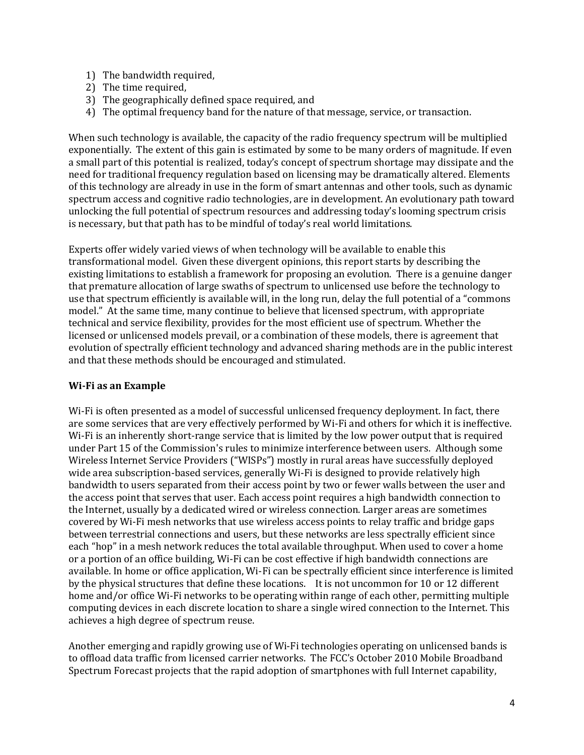- 1) The bandwidth required,
- 2) The time required,
- 3) The geographically defined space required, and
- 4) The optimal frequency band for the nature of that message, service, or transaction.

When such technology is available, the capacity of the radio frequency spectrum will be multiplied exponentially. The extent of this gain is estimated by some to be many orders of magnitude. If even a small part of this potential is realized, today's concept of spectrum shortage may dissipate and the need for traditional frequency regulation based on licensing may be dramatically altered. Elements of this technology are already in use in the form of smart antennas and other tools, such as dynamic spectrum access and cognitive radio technologies, are in development. An evolutionary path toward unlocking the full potential of spectrum resources and addressing today's looming spectrum crisis is necessary, but that path has to be mindful of today's real world limitations.

Experts offer widely varied views of when technology will be available to enable this transformational model. Given these divergent opinions, this report starts by describing the existing limitations to establish a framework for proposing an evolution. There is a genuine danger that premature allocation of large swaths of spectrum to unlicensed use before the technology to use that spectrum efficiently is available will, in the long run, delay the full potential of a "commons model." At the same time, many continue to believe that licensed spectrum, with appropriate technical and service flexibility, provides for the most efficient use of spectrum. Whether the licensed or unlicensed models prevail, or a combination of these models, there is agreement that evolution of spectrally efficient technology and advanced sharing methods are in the public interest and that these methods should be encouraged and stimulated.

### **Wi-Fi as an Example**

Wi-Fi is often presented as a model of successful unlicensed frequency deployment. In fact, there are some services that are very effectively performed by Wi-Fi and others for which it is ineffective. Wi-Fi is an inherently short-range service that is limited by the low power output that is required under Part 15 of the Commission's rules to minimize interference between users. Although some Wireless Internet Service Providers ("WISPs") mostly in rural areas have successfully deployed wide area subscription-based services, generally Wi-Fi is designed to provide relatively high bandwidth to users separated from their access point by two or fewer walls between the user and the access point that serves that user. Each access point requires a high bandwidth connection to the Internet, usually by a dedicated wired or wireless connection. Larger areas are sometimes covered by Wi-Fi mesh networks that use wireless access points to relay traffic and bridge gaps between terrestrial connections and users, but these networks are less spectrally efficient since each "hop" in a mesh network reduces the total available throughput. When used to cover a home or a portion of an office building, Wi-Fi can be cost effective if high bandwidth connections are available. In home or office application, Wi-Fi can be spectrally efficient since interference is limited by the physical structures that define these locations. It is not uncommon for 10 or 12 different home and/or office Wi-Fi networks to be operating within range of each other, permitting multiple computing devices in each discrete location to share a single wired connection to the Internet. This achieves a high degree of spectrum reuse.

Another emerging and rapidly growing use of Wi-Fi technologies operating on unlicensed bands is to offload data traffic from licensed carrier networks. The FCC's October 2010 Mobile Broadband Spectrum Forecast projects that the rapid adoption of smartphones with full Internet capability,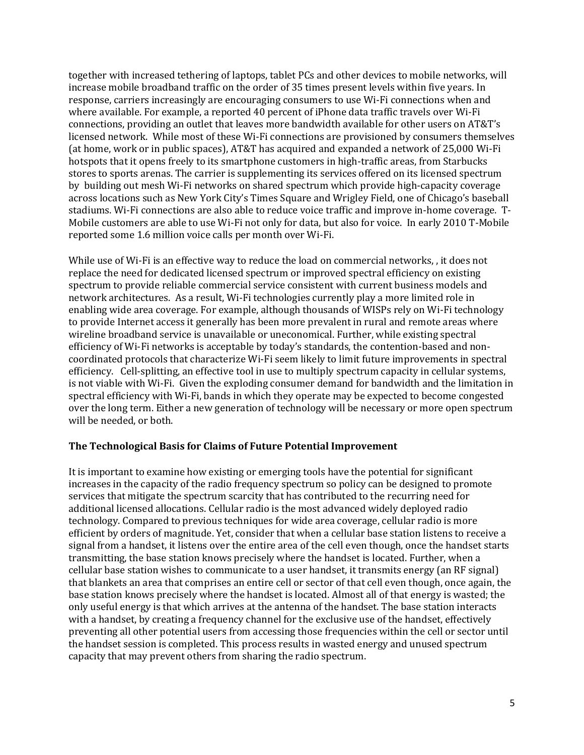together with increased tethering of laptops, tablet PCs and other devices to mobile networks, will increase mobile broadband traffic on the order of 35 times present levels within five years. In response, carriers increasingly are encouraging consumers to use Wi-Fi connections when and where available. For example, a reported 40 percent of iPhone data traffic travels over Wi-Fi connections, providing an outlet that leaves more bandwidth available for other users on AT&T's licensed network. While most of these Wi-Fi connections are provisioned by consumers themselves (at home, work or in public spaces), AT&T has acquired and expanded a network of 25,000 Wi-Fi hotspots that it opens freely to its smartphone customers in high-traffic areas, from Starbucks stores to sports arenas. The carrier is supplementing its services offered on its licensed spectrum by building out mesh Wi-Fi networks on shared spectrum which provide high-capacity coverage across locations such as New York City's Times Square and Wrigley Field, one of Chicago's baseball stadiums. Wi-Fi connections are also able to reduce voice traffic and improve in-home coverage. T-Mobile customers are able to use Wi-Fi not only for data, but also for voice. In early 2010 T-Mobile reported some 1.6 million voice calls per month over Wi-Fi.

While use of Wi-Fi is an effective way to reduce the load on commercial networks, , it does not replace the need for dedicated licensed spectrum or improved spectral efficiency on existing spectrum to provide reliable commercial service consistent with current business models and network architectures. As a result, Wi-Fi technologies currently play a more limited role in enabling wide area coverage. For example, although thousands of WISPs rely on Wi-Fi technology to provide Internet access it generally has been more prevalent in rural and remote areas where wireline broadband service is unavailable or uneconomical. Further, while existing spectral efficiency of Wi-Fi networks is acceptable by today's standards, the contention-based and noncoordinated protocols that characterize Wi-Fi seem likely to limit future improvements in spectral efficiency. Cell-splitting, an effective tool in use to multiply spectrum capacity in cellular systems, is not viable with Wi-Fi. Given the exploding consumer demand for bandwidth and the limitation in spectral efficiency with Wi-Fi, bands in which they operate may be expected to become congested over the long term. Either a new generation of technology will be necessary or more open spectrum will be needed, or both.

### **The Technological Basis for Claims of Future Potential Improvement**

It is important to examine how existing or emerging tools have the potential for significant increases in the capacity of the radio frequency spectrum so policy can be designed to promote services that mitigate the spectrum scarcity that has contributed to the recurring need for additional licensed allocations. Cellular radio is the most advanced widely deployed radio technology. Compared to previous techniques for wide area coverage, cellular radio is more efficient by orders of magnitude. Yet, consider that when a cellular base station listens to receive a signal from a handset, it listens over the entire area of the cell even though, once the handset starts transmitting, the base station knows precisely where the handset is located. Further, when a cellular base station wishes to communicate to a user handset, it transmits energy (an RF signal) that blankets an area that comprises an entire cell or sector of that cell even though, once again, the base station knows precisely where the handset is located. Almost all of that energy is wasted; the only useful energy is that which arrives at the antenna of the handset. The base station interacts with a handset, by creating a frequency channel for the exclusive use of the handset, effectively preventing all other potential users from accessing those frequencies within the cell or sector until the handset session is completed. This process results in wasted energy and unused spectrum capacity that may prevent others from sharing the radio spectrum.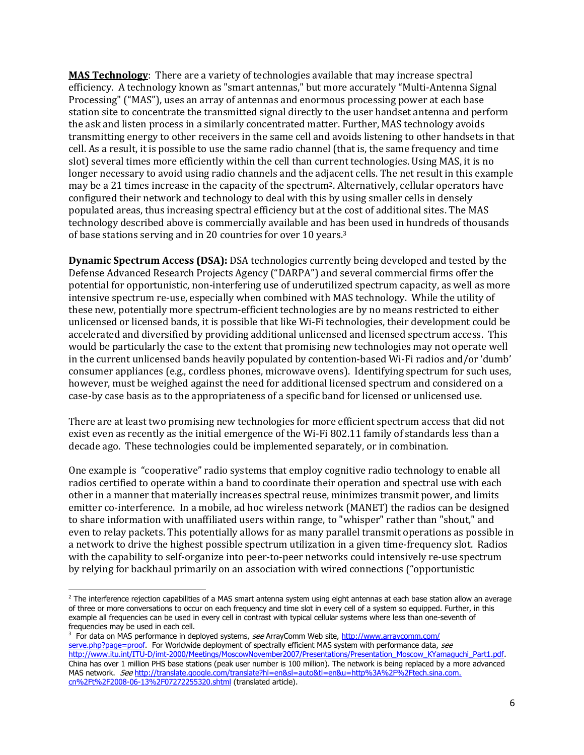**MAS Technology**: There are a variety of technologies available that may increase spectral efficiency. A technology known as "smart antennas," but more accurately "Multi-Antenna Signal Processing" ("MAS"), uses an array of antennas and enormous processing power at each base station site to concentrate the transmitted signal directly to the user handset antenna and perform the ask and listen process in a similarly concentrated matter. Further, MAS technology avoids transmitting energy to other receivers in the same cell and avoids listening to other handsets in that cell. As a result, it is possible to use the same radio channel (that is, the same frequency and time slot) several times more efficiently within the cell than current technologies. Using MAS, it is no longer necessary to avoid using radio channels and the adjacent cells. The net result in this example may be a 21 times increase in the capacity of the spectrum<sup>2</sup>. Alternatively, cellular operators have configured their network and technology to deal with this by using smaller cells in densely populated areas, thus increasing spectral efficiency but at the cost of additional sites. The MAS technology described above is commercially available and has been used in hundreds of thousands of base stations serving and in 20 countries for over 10 years.<sup>3</sup>

**Dynamic Spectrum Access (DSA):** DSA technologies currently being developed and tested by the Defense Advanced Research Projects Agency ("DARPA") and several commercial firms offer the potential for opportunistic, non-interfering use of underutilized spectrum capacity, as well as more intensive spectrum re-use, especially when combined with MAS technology. While the utility of these new, potentially more spectrum-efficient technologies are by no means restricted to either unlicensed or licensed bands, it is possible that like Wi-Fi technologies, their development could be accelerated and diversified by providing additional unlicensed and licensed spectrum access. This would be particularly the case to the extent that promising new technologies may not operate well in the current unlicensed bands heavily populated by contention-based Wi-Fi radios and/or 'dumb' consumer appliances (e.g., cordless phones, microwave ovens). Identifying spectrum for such uses, however, must be weighed against the need for additional licensed spectrum and considered on a case-by case basis as to the appropriateness of a specific band for licensed or unlicensed use.

There are at least two promising new technologies for more efficient spectrum access that did not exist even as recently as the initial emergence of the Wi-Fi 802.11 family of standards less than a decade ago. These technologies could be implemented separately, or in combination.

One example is "cooperative" radio systems that employ cognitive radio technology to enable all radios certified to operate within a band to coordinate their operation and spectral use with each other in a manner that materially increases spectral reuse, minimizes transmit power, and limits emitter co-interference. In a mobile, ad hoc wireless network (MANET) the radios can be designed to share information with unaffiliated users within range, to "whisper" rather than "shout," and even to relay packets. This potentially allows for as many parallel transmit operations as possible in a network to drive the highest possible spectrum utilization in a given time-frequency slot. Radios with the capability to self-organize into peer-to-peer networks could intensively re-use spectrum by relying for backhaul primarily on an association with wired connections ("opportunistic

 $\overline{\phantom{a}}$ 

 $2$  The interference rejection capabilities of a MAS smart antenna system using eight antennas at each base station allow an average of three or more conversations to occur on each frequency and time slot in every cell of a system so equipped. Further, in this example all frequencies can be used in every cell in contrast with typical cellular systems where less than one-seventh of frequencies may be used in each cell.

<sup>&</sup>lt;sup>3</sup> For data on MAS performance in deployed systems, see ArrayComm Web site, [http://www.arraycomm.com/](http://www.arraycomm.com/serve.php?page=proof) [serve.php?page=proof.](http://www.arraycomm.com/serve.php?page=proof) For Worldwide deployment of spectrally efficient MAS system with performance data, see [http://www.itu.int/ITU-D/imt-2000/Meetings/MoscowNovember2007/Presentations/Presentation\\_Moscow\\_KYamaguchi\\_Part1.pdf.](http://www.itu.int/ITU-D/imt-2000/Meetings/MoscowNovember2007/Presentations/Presentation_Moscow_KYamaguchi_Part1.pdf) China has over 1 million PHS base stations (peak user number is 100 million). The network is being replaced by a more advanced MAS network. See [http://translate.google.com/translate?hl=en&sl=auto&tl=en&u=http%3A%2F%2Ftech.sina.com.](http://translate.google.com/translate?hl=en&sl=auto&tl=en&u=http%3A%2F%2Ftech.sina.com.cn%2Ft%2F2008-06-13%2F07272255320.shtml) [cn%2Ft%2F2008-06-13%2F07272255320.shtml](http://translate.google.com/translate?hl=en&sl=auto&tl=en&u=http%3A%2F%2Ftech.sina.com.cn%2Ft%2F2008-06-13%2F07272255320.shtml) (translated article).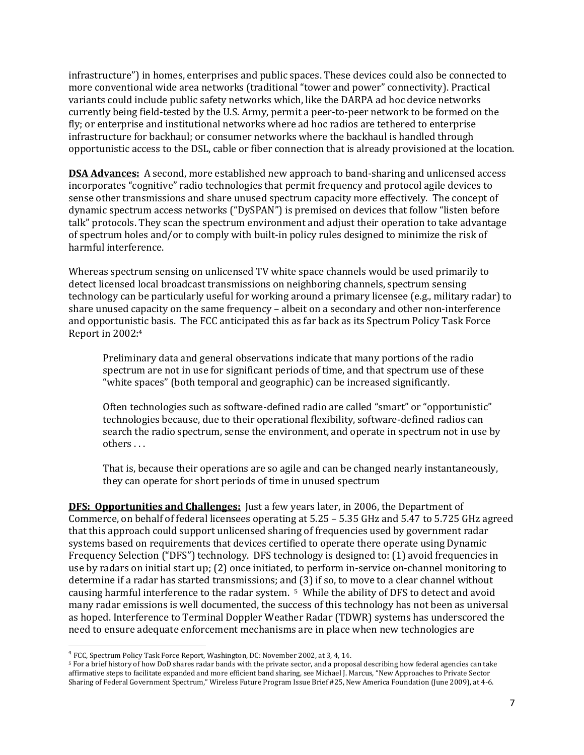infrastructure") in homes, enterprises and public spaces. These devices could also be connected to more conventional wide area networks (traditional "tower and power" connectivity). Practical variants could include public safety networks which, like the DARPA ad hoc device networks currently being field-tested by the U.S. Army, permit a peer-to-peer network to be formed on the fly; or enterprise and institutional networks where ad hoc radios are tethered to enterprise infrastructure for backhaul; or consumer networks where the backhaul is handled through opportunistic access to the DSL, cable or fiber connection that is already provisioned at the location.

**DSA Advances:** A second, more established new approach to band-sharing and unlicensed access incorporates "cognitive" radio technologies that permit frequency and protocol agile devices to sense other transmissions and share unused spectrum capacity more effectively. The concept of dynamic spectrum access networks ("DySPAN") is premised on devices that follow "listen before talk" protocols. They scan the spectrum environment and adjust their operation to take advantage of spectrum holes and/or to comply with built-in policy rules designed to minimize the risk of harmful interference.

Whereas spectrum sensing on unlicensed TV white space channels would be used primarily to detect licensed local broadcast transmissions on neighboring channels, spectrum sensing technology can be particularly useful for working around a primary licensee (e.g., military radar) to share unused capacity on the same frequency – albeit on a secondary and other non-interference and opportunistic basis. The FCC anticipated this as far back as its Spectrum Policy Task Force Report in 2002:<sup>4</sup>

Preliminary data and general observations indicate that many portions of the radio spectrum are not in use for significant periods of time, and that spectrum use of these "white spaces" (both temporal and geographic) can be increased significantly.

Often technologies such as software-defined radio are called "smart" or "opportunistic" technologies because, due to their operational flexibility, software-defined radios can search the radio spectrum, sense the environment, and operate in spectrum not in use by others . . .

That is, because their operations are so agile and can be changed nearly instantaneously, they can operate for short periods of time in unused spectrum

**DFS: Opportunities and Challenges:** Just a few years later, in 2006, the Department of Commerce, on behalf of federal licensees operating at 5.25 – 5.35 GHz and 5.47 to 5.725 GHz agreed that this approach could support unlicensed sharing of frequencies used by government radar systems based on requirements that devices certified to operate there operate using Dynamic Frequency Selection ("DFS") technology. DFS technology is designed to: (1) avoid frequencies in use by radars on initial start up; (2) once initiated, to perform in-service on-channel monitoring to determine if a radar has started transmissions; and (3) if so, to move to a clear channel without causing harmful interference to the radar system. 5 While the ability of DFS to detect and avoid many radar emissions is well documented, the success of this technology has not been as universal as hoped. Interference to Terminal Doppler Weather Radar (TDWR) systems has underscored the need to ensure adequate enforcement mechanisms are in place when new technologies are

 $\overline{a}$ 

<sup>&</sup>lt;sup>4</sup> FCC, Spectrum Policy Task Force Report, Washington, DC: November 2002, at 3, 4, 14.

<sup>5</sup> For a brief history of how DoD shares radar bands with the private sector, and a proposal describing how federal agencies can take affirmative steps to facilitate expanded and more efficient band sharing, see Michael J. Marcus, "New Approaches to Private Sector Sharing of Federal Government Spectrum," Wireless Future Program Issue Brief #25, New America Foundation (June 2009), at 4-6.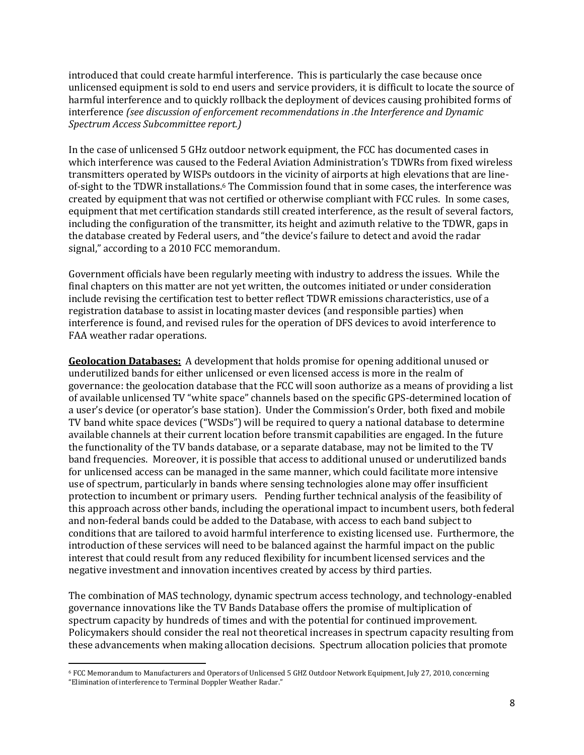introduced that could create harmful interference. This is particularly the case because once unlicensed equipment is sold to end users and service providers, it is difficult to locate the source of harmful interference and to quickly rollback the deployment of devices causing prohibited forms of interference *(see discussion of enforcement recommendations in .the Interference and Dynamic Spectrum Access Subcommittee report.)*

In the case of unlicensed 5 GHz outdoor network equipment, the FCC has documented cases in which interference was caused to the Federal Aviation Administration's TDWRs from fixed wireless transmitters operated by WISPs outdoors in the vicinity of airports at high elevations that are lineof-sight to the TDWR installations.<sup>6</sup> The Commission found that in some cases, the interference was created by equipment that was not certified or otherwise compliant with FCC rules. In some cases, equipment that met certification standards still created interference, as the result of several factors, including the configuration of the transmitter, its height and azimuth relative to the TDWR, gaps in the database created by Federal users, and "the device's failure to detect and avoid the radar signal," according to a 2010 FCC memorandum.

Government officials have been regularly meeting with industry to address the issues. While the final chapters on this matter are not yet written, the outcomes initiated or under consideration include revising the certification test to better reflect TDWR emissions characteristics, use of a registration database to assist in locating master devices (and responsible parties) when interference is found, and revised rules for the operation of DFS devices to avoid interference to FAA weather radar operations.

**Geolocation Databases:** A development that holds promise for opening additional unused or underutilized bands for either unlicensed or even licensed access is more in the realm of governance: the geolocation database that the FCC will soon authorize as a means of providing a list of available unlicensed TV "white space" channels based on the specific GPS-determined location of a user's device (or operator's base station). Under the Commission's Order, both fixed and mobile TV band white space devices ("WSDs") will be required to query a national database to determine available channels at their current location before transmit capabilities are engaged. In the future the functionality of the TV bands database, or a separate database, may not be limited to the TV band frequencies. Moreover, it is possible that access to additional unused or underutilized bands for unlicensed access can be managed in the same manner, which could facilitate more intensive use of spectrum, particularly in bands where sensing technologies alone may offer insufficient protection to incumbent or primary users. Pending further technical analysis of the feasibility of this approach across other bands, including the operational impact to incumbent users, both federal and non-federal bands could be added to the Database, with access to each band subject to conditions that are tailored to avoid harmful interference to existing licensed use. Furthermore, the introduction of these services will need to be balanced against the harmful impact on the public interest that could result from any reduced flexibility for incumbent licensed services and the negative investment and innovation incentives created by access by third parties.

The combination of MAS technology, dynamic spectrum access technology, and technology-enabled governance innovations like the TV Bands Database offers the promise of multiplication of spectrum capacity by hundreds of times and with the potential for continued improvement. Policymakers should consider the real not theoretical increases in spectrum capacity resulting from these advancements when making allocation decisions. Spectrum allocation policies that promote

l <sup>6</sup> FCC Memorandum to Manufacturers and Operators of Unlicensed 5 GHZ Outdoor Network Equipment, July 27, 2010, concerning "Elimination of interference to Terminal Doppler Weather Radar."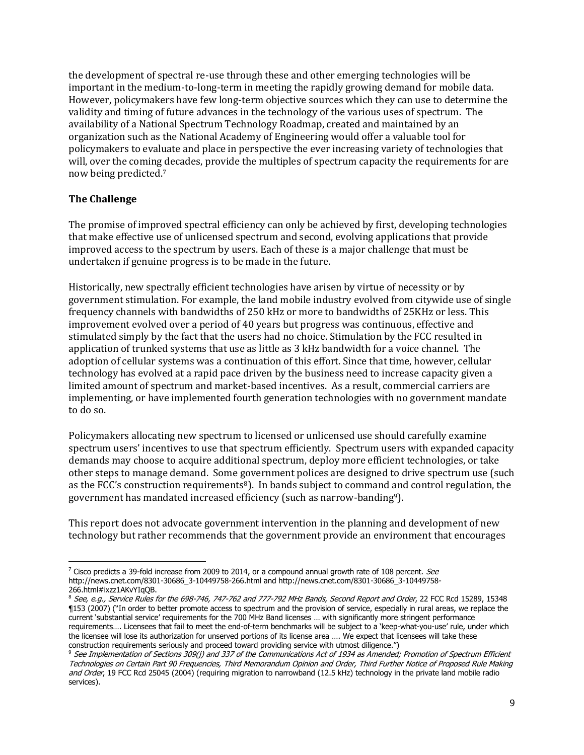the development of spectral re-use through these and other emerging technologies will be important in the medium-to-long-term in meeting the rapidly growing demand for mobile data. However, policymakers have few long-term objective sources which they can use to determine the validity and timing of future advances in the technology of the various uses of spectrum. The availability of a National Spectrum Technology Roadmap, created and maintained by an organization such as the National Academy of Engineering would offer a valuable tool for policymakers to evaluate and place in perspective the ever increasing variety of technologies that will, over the coming decades, provide the multiples of spectrum capacity the requirements for are now being predicted. 7

# **The Challenge**

The promise of improved spectral efficiency can only be achieved by first, developing technologies that make effective use of unlicensed spectrum and second, evolving applications that provide improved access to the spectrum by users. Each of these is a major challenge that must be undertaken if genuine progress is to be made in the future.

Historically, new spectrally efficient technologies have arisen by virtue of necessity or by government stimulation. For example, the land mobile industry evolved from citywide use of single frequency channels with bandwidths of 250 kHz or more to bandwidths of 25KHz or less. This improvement evolved over a period of 40 years but progress was continuous, effective and stimulated simply by the fact that the users had no choice. Stimulation by the FCC resulted in application of trunked systems that use as little as 3 kHz bandwidth for a voice channel. The adoption of cellular systems was a continuation of this effort. Since that time, however, cellular technology has evolved at a rapid pace driven by the business need to increase capacity given a limited amount of spectrum and market-based incentives. As a result, commercial carriers are implementing, or have implemented fourth generation technologies with no government mandate to do so.

Policymakers allocating new spectrum to licensed or unlicensed use should carefully examine spectrum users' incentives to use that spectrum efficiently. Spectrum users with expanded capacity demands may choose to acquire additional spectrum, deploy more efficient technologies, or take other steps to manage demand. Some government polices are designed to drive spectrum use (such as the FCC's construction requirements8). In bands subject to command and control regulation, the government has mandated increased efficiency (such as narrow-banding9).

This report does not advocate government intervention in the planning and development of new technology but rather recommends that the government provide an environment that encourages

 $\overline{\phantom{a}}$  $^7$  Cisco predicts a 39-fold increase from 2009 to 2014, or a compound annual growth rate of 108 percent. See http://news.cnet.com/8301-30686\_3-10449758-266.html and http://news.cnet.com/8301-30686\_3-10449758- 266.html#ixzz1AKvYIqQB.

<sup>&</sup>lt;sup>8</sup> See, e.g., Service Rules for the 698-746, 747-762 and 777-792 MHz Bands, Second Report and Order, 22 FCC Rcd 15289, 15348 ¶153 (2007) ("In order to better promote access to spectrum and the provision of service, especially in rural areas, we replace the current "substantial service" requirements for the 700 MHz Band licenses … with significantly more stringent performance requirements…. Licensees that fail to meet the end-of-term benchmarks will be subject to a "keep-what-you-use" rule, under which the licensee will lose its authorization for unserved portions of its license area …. We expect that licensees will take these construction requirements seriously and proceed toward providing service with utmost diligence.")

<sup>&</sup>lt;sup>9</sup> See Implementation of Sections 309(j) and 337 of the Communications Act of 1934 as Amended; Promotion of Spectrum Efficient Technologies on Certain Part 90 Frequencies, Third Memorandum Opinion and Order, Third Further Notice of Proposed Rule Making and Order, 19 FCC Rcd 25045 (2004) (requiring migration to narrowband (12.5 kHz) technology in the private land mobile radio services).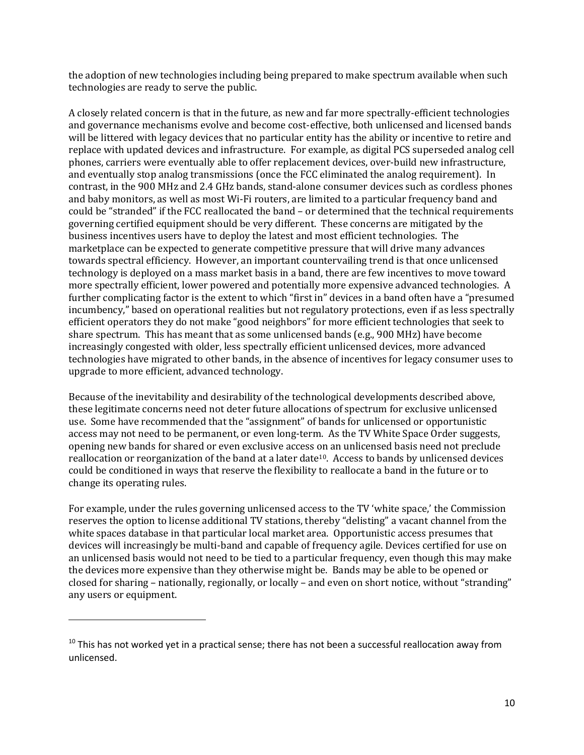the adoption of new technologies including being prepared to make spectrum available when such technologies are ready to serve the public.

A closely related concern is that in the future, as new and far more spectrally-efficient technologies and governance mechanisms evolve and become cost-effective, both unlicensed and licensed bands will be littered with legacy devices that no particular entity has the ability or incentive to retire and replace with updated devices and infrastructure. For example, as digital PCS superseded analog cell phones, carriers were eventually able to offer replacement devices, over-build new infrastructure, and eventually stop analog transmissions (once the FCC eliminated the analog requirement). In contrast, in the 900 MHz and 2.4 GHz bands, stand-alone consumer devices such as cordless phones and baby monitors, as well as most Wi-Fi routers, are limited to a particular frequency band and could be "stranded" if the FCC reallocated the band – or determined that the technical requirements governing certified equipment should be very different. These concerns are mitigated by the business incentives users have to deploy the latest and most efficient technologies. The marketplace can be expected to generate competitive pressure that will drive many advances towards spectral efficiency. However, an important countervailing trend is that once unlicensed technology is deployed on a mass market basis in a band, there are few incentives to move toward more spectrally efficient, lower powered and potentially more expensive advanced technologies. A further complicating factor is the extent to which "first in" devices in a band often have a "presumed incumbency," based on operational realities but not regulatory protections, even if as less spectrally efficient operators they do not make "good neighbors" for more efficient technologies that seek to share spectrum. This has meant that as some unlicensed bands (e.g., 900 MHz) have become increasingly congested with older, less spectrally efficient unlicensed devices, more advanced technologies have migrated to other bands, in the absence of incentives for legacy consumer uses to upgrade to more efficient, advanced technology.

Because of the inevitability and desirability of the technological developments described above, these legitimate concerns need not deter future allocations of spectrum for exclusive unlicensed use. Some have recommended that the "assignment" of bands for unlicensed or opportunistic access may not need to be permanent, or even long-term. As the TV White Space Order suggests, opening new bands for shared or even exclusive access on an unlicensed basis need not preclude reallocation or reorganization of the band at a later date10. Access to bands by unlicensed devices could be conditioned in ways that reserve the flexibility to reallocate a band in the future or to change its operating rules.

For example, under the rules governing unlicensed access to the TV 'white space,' the Commission reserves the option to license additional TV stations, thereby "delisting" a vacant channel from the white spaces database in that particular local market area. Opportunistic access presumes that devices will increasingly be multi-band and capable of frequency agile. Devices certified for use on an unlicensed basis would not need to be tied to a particular frequency, even though this may make the devices more expensive than they otherwise might be. Bands may be able to be opened or closed for sharing – nationally, regionally, or locally – and even on short notice, without "stranding" any users or equipment.

 $\overline{\phantom{a}}$ 

 $10$  This has not worked yet in a practical sense; there has not been a successful reallocation away from unlicensed.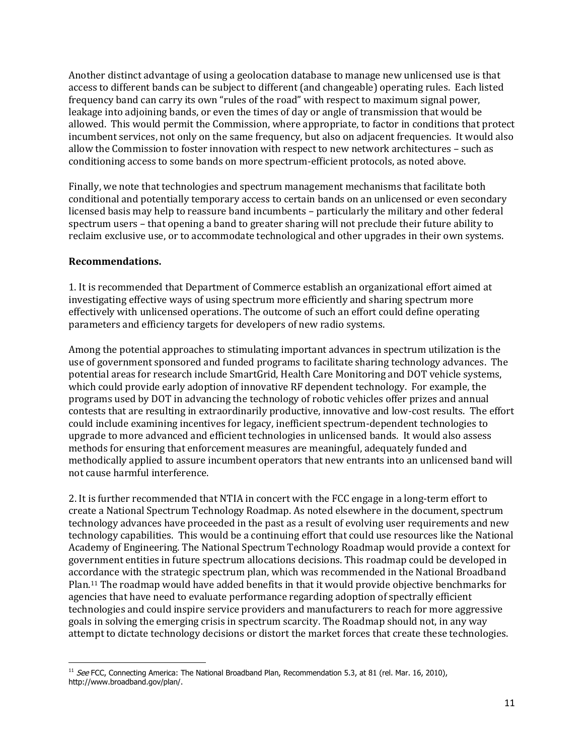Another distinct advantage of using a geolocation database to manage new unlicensed use is that access to different bands can be subject to different (and changeable) operating rules. Each listed frequency band can carry its own "rules of the road" with respect to maximum signal power, leakage into adjoining bands, or even the times of day or angle of transmission that would be allowed. This would permit the Commission, where appropriate, to factor in conditions that protect incumbent services, not only on the same frequency, but also on adjacent frequencies. It would also allow the Commission to foster innovation with respect to new network architectures – such as conditioning access to some bands on more spectrum-efficient protocols, as noted above.

Finally, we note that technologies and spectrum management mechanisms that facilitate both conditional and potentially temporary access to certain bands on an unlicensed or even secondary licensed basis may help to reassure band incumbents – particularly the military and other federal spectrum users – that opening a band to greater sharing will not preclude their future ability to reclaim exclusive use, or to accommodate technological and other upgrades in their own systems.

### **Recommendations.**

1. It is recommended that Department of Commerce establish an organizational effort aimed at investigating effective ways of using spectrum more efficiently and sharing spectrum more effectively with unlicensed operations. The outcome of such an effort could define operating parameters and efficiency targets for developers of new radio systems.

Among the potential approaches to stimulating important advances in spectrum utilization is the use of government sponsored and funded programs to facilitate sharing technology advances. The potential areas for research include SmartGrid, Health Care Monitoring and DOT vehicle systems, which could provide early adoption of innovative RF dependent technology. For example, the programs used by DOT in advancing the technology of robotic vehicles offer prizes and annual contests that are resulting in extraordinarily productive, innovative and low-cost results. The effort could include examining incentives for legacy, inefficient spectrum-dependent technologies to upgrade to more advanced and efficient technologies in unlicensed bands. It would also assess methods for ensuring that enforcement measures are meaningful, adequately funded and methodically applied to assure incumbent operators that new entrants into an unlicensed band will not cause harmful interference.

2. It is further recommended that NTIA in concert with the FCC engage in a long-term effort to create a National Spectrum Technology Roadmap. As noted elsewhere in the document, spectrum technology advances have proceeded in the past as a result of evolving user requirements and new technology capabilities. This would be a continuing effort that could use resources like the National Academy of Engineering. The National Spectrum Technology Roadmap would provide a context for government entities in future spectrum allocations decisions. This roadmap could be developed in accordance with the strategic spectrum plan, which was recommended in the National Broadband Plan.<sup>11</sup> The roadmap would have added benefits in that it would provide objective benchmarks for agencies that have need to evaluate performance regarding adoption of spectrally efficient technologies and could inspire service providers and manufacturers to reach for more aggressive goals in solving the emerging crisis in spectrum scarcity. The Roadmap should not, in any way attempt to dictate technology decisions or distort the market forces that create these technologies.

 $\overline{\phantom{a}}$ <sup>11</sup> See FCC, Connecting America: The National Broadband Plan, Recommendation 5.3, at 81 (rel. Mar. 16, 2010), http://www.broadband.gov/plan/.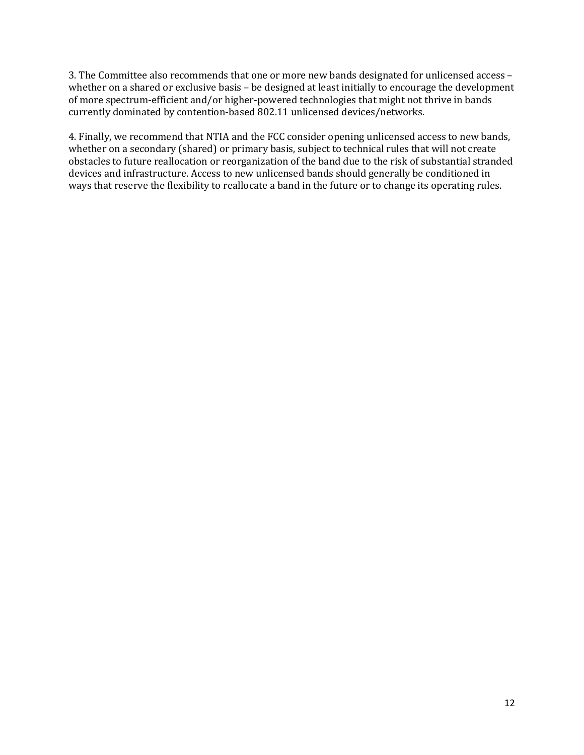3. The Committee also recommends that one or more new bands designated for unlicensed access – whether on a shared or exclusive basis – be designed at least initially to encourage the development of more spectrum-efficient and/or higher-powered technologies that might not thrive in bands currently dominated by contention-based 802.11 unlicensed devices/networks.

4. Finally, we recommend that NTIA and the FCC consider opening unlicensed access to new bands, whether on a secondary (shared) or primary basis, subject to technical rules that will not create obstacles to future reallocation or reorganization of the band due to the risk of substantial stranded devices and infrastructure. Access to new unlicensed bands should generally be conditioned in ways that reserve the flexibility to reallocate a band in the future or to change its operating rules.